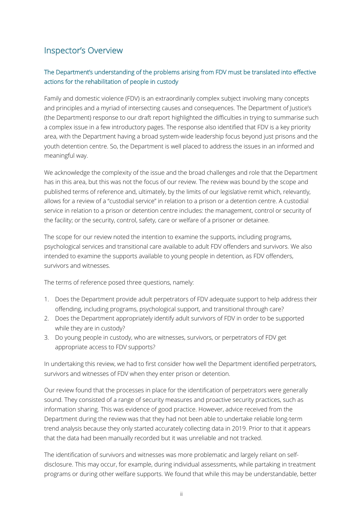# Inspector's Overview

## The Department's understanding of the problems arising from FDV must be translated into effective actions for the rehabilitation of people in custody

Family and domestic violence (FDV) is an extraordinarily complex subject involving many concepts and principles and a myriad of intersecting causes and consequences. The Department of Justice's (the Department) response to our draft report highlighted the difficulties in trying to summarise such a complex issue in a few introductory pages. The response also identified that FDV is a key priority area, with the Department having a broad system-wide leadership focus beyond just prisons and the youth detention centre. So, the Department is well placed to address the issues in an informed and meaningful way.

We acknowledge the complexity of the issue and the broad challenges and role that the Department has in this area, but this was not the focus of our review. The review was bound by the scope and published terms of reference and, ultimately, by the limits of our legislative remit which, relevantly, allows for a review of a "custodial service" in relation to a prison or a detention centre. A custodial service in relation to a prison or detention centre includes: the management, control or security of the facility; or the security, control, safety, care or welfare of a prisoner or detainee.

The scope for our review noted the intention to examine the supports, including programs, psychological services and transitional care available to adult FDV offenders and survivors. We also intended to examine the supports available to young people in detention, as FDV offenders, survivors and witnesses.

The terms of reference posed three questions, namely:

- 1. Does the Department provide adult perpetrators of FDV adequate support to help address their offending, including programs, psychological support, and transitional through care?
- 2. Does the Department appropriately identify adult survivors of FDV in order to be supported while they are in custody?
- 3. Do young people in custody, who are witnesses, survivors, or perpetrators of FDV get appropriate access to FDV supports?

In undertaking this review, we had to first consider how well the Department identified perpetrators, survivors and witnesses of FDV when they enter prison or detention.

Our review found that the processes in place for the identification of perpetrators were generally sound. They consisted of a range of security measures and proactive security practices, such as information sharing. This was evidence of good practice. However, advice received from the Department during the review was that they had not been able to undertake reliable long-term trend analysis because they only started accurately collecting data in 2019. Prior to that it appears that the data had been manually recorded but it was unreliable and not tracked.

The identification of survivors and witnesses was more problematic and largely reliant on selfdisclosure. This may occur, for example, during individual assessments, while partaking in treatment programs or during other welfare supports. We found that while this may be understandable, better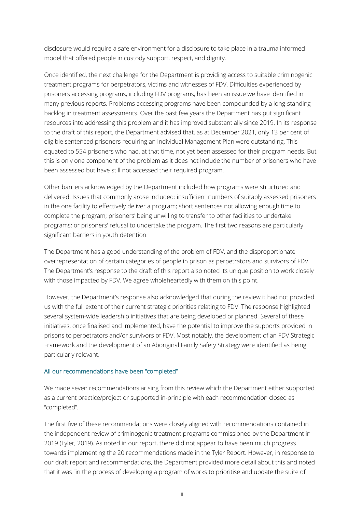disclosure would require a safe environment for a disclosure to take place in a trauma informed model that offered people in custody support, respect, and dignity.

Once identified, the next challenge for the Department is providing access to suitable criminogenic treatment programs for perpetrators, victims and witnesses of FDV. Difficulties experienced by prisoners accessing programs, including FDV programs, has been an issue we have identified in many previous reports. Problems accessing programs have been compounded by a long-standing backlog in treatment assessments. Over the past few years the Department has put significant resources into addressing this problem and it has improved substantially since 2019. In its response to the draft of this report, the Department advised that, as at December 2021, only 13 per cent of eligible sentenced prisoners requiring an Individual Management Plan were outstanding. This equated to 554 prisoners who had, at that time, not yet been assessed for their program needs. But this is only one component of the problem as it does not include the number of prisoners who have been assessed but have still not accessed their required program.

Other barriers acknowledged by the Department included how programs were structured and delivered. Issues that commonly arose included: insufficient numbers of suitably assessed prisoners in the one facility to effectively deliver a program; short sentences not allowing enough time to complete the program; prisoners' being unwilling to transfer to other facilities to undertake programs; or prisoners' refusal to undertake the program. The first two reasons are particularly significant barriers in youth detention.

The Department has a good understanding of the problem of FDV, and the disproportionate overrepresentation of certain categories of people in prison as perpetrators and survivors of FDV. The Department's response to the draft of this report also noted its unique position to work closely with those impacted by FDV. We agree wholeheartedly with them on this point.

However, the Department's response also acknowledged that during the review it had not provided us with the full extent of their current strategic priorities relating to FDV. The response highlighted several system-wide leadership initiatives that are being developed or planned. Several of these initiatives, once finalised and implemented, have the potential to improve the supports provided in prisons to perpetrators and/or survivors of FDV. Most notably, the development of an FDV Strategic Framework and the development of an Aboriginal Family Safety Strategy were identified as being particularly relevant.

#### All our recommendations have been "completed"

We made seven recommendations arising from this review which the Department either supported as a current practice/project or supported in-principle with each recommendation closed as "completed".

The first five of these recommendations were closely aligned with recommendations contained in the independent review of criminogenic treatment programs commissioned by the Department in 2019 (Tyler, 2019). As noted in our report, there did not appear to have been much progress towards implementing the 20 recommendations made in the Tyler Report. However, in response to our draft report and recommendations, the Department provided more detail about this and noted that it was "in the process of developing a program of works to prioritise and update the suite of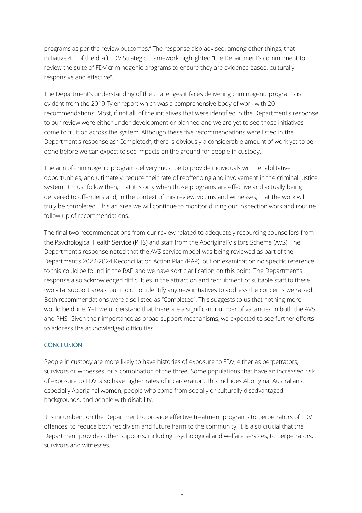programs as per the review outcomes." The response also advised, among other things, that initiative 4.1 of the draft FDV Strategic Framework highlighted "the Department's commitment to review the suite of FDV criminogenic programs to ensure they are evidence based, culturally responsive and effective".

The Department's understanding of the challenges it faces delivering criminogenic programs is evident from the 2019 Tyler report which was a comprehensive body of work with 20 recommendations. Most, if not all, of the initiatives that were identified in the Department's response to our review were either under development or planned and we are yet to see those initiatives come to fruition across the system. Although these five recommendations were listed in the Department's response as "Completed", there is obviously a considerable amount of work yet to be done before we can expect to see impacts on the ground for people in custody.

The aim of criminogenic program delivery must be to provide individuals with rehabilitative opportunities, and ultimately, reduce their rate of reoffending and involvement in the criminal justice system. It must follow then, that it is only when those programs are effective and actually being delivered to offenders and, in the context of this review, victims and witnesses, that the work will truly be completed. This an area we will continue to monitor during our inspection work and routine follow-up of recommendations.

The final two recommendations from our review related to adequately resourcing counsellors from the Psychological Health Service (PHS) and staff from the Aboriginal Visitors Scheme (AVS). The Department's response noted that the AVS service model was being reviewed as part of the Department's 2022-2024 Reconciliation Action Plan (RAP), but on examination no specific reference to this could be found in the RAP and we have sort clarification on this point. The Department's response also acknowledged difficulties in the attraction and recruitment of suitable staff to these two vital support areas, but it did not identify any new initiatives to address the concerns we raised. Both recommendations were also listed as "Completed". This suggests to us that nothing more would be done. Yet, we understand that there are a significant number of vacancies in both the AVS and PHS. Given their importance as broad support mechanisms, we expected to see further efforts to address the acknowledged difficulties.

#### **CONCLUSION**

People in custody are more likely to have histories of exposure to FDV, either as perpetrators, survivors or witnesses, or a combination of the three. Some populations that have an increased risk of exposure to FDV, also have higher rates of incarceration. This includes Aboriginal Australians, especially Aboriginal women, people who come from socially or culturally disadvantaged backgrounds, and people with disability.

It is incumbent on the Department to provide effective treatment programs to perpetrators of FDV offences, to reduce both recidivism and future harm to the community. It is also crucial that the Department provides other supports, including psychological and welfare services, to perpetrators, survivors and witnesses.